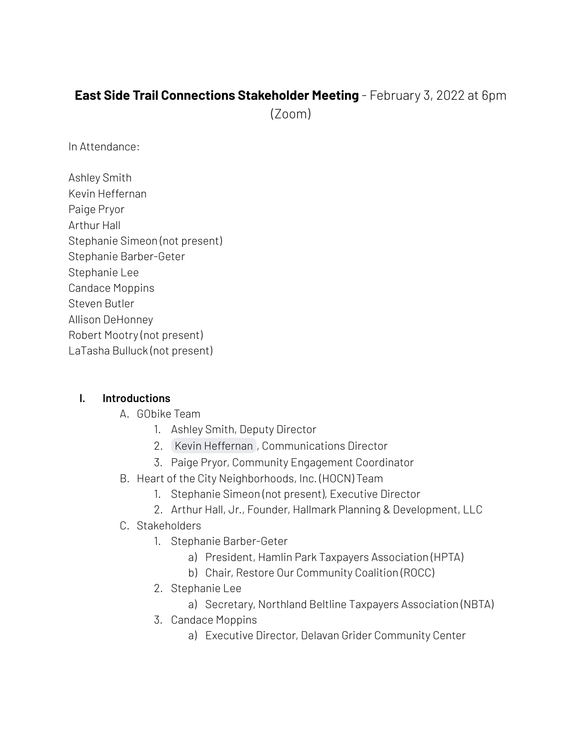# **East Side Trail Connections Stakeholder Meeting** - February 3, 2022 at 6pm

(Zoom)

In Attendance:

Ashley Smith Kevin Heffernan Paige Pryor Arthur Hall Stephanie Simeon (not present) Stephanie Barber-Geter Stephanie Lee Candace Moppins Steven Butler Allison DeHonney Robert Mootry (not present) LaTasha Bulluck (not present)

#### **I. Introductions**

- A. GObike Team
	- 1. Ashley Smith, Deputy Director
	- 2. Kevin [Heffernan](mailto:kevin@gobikebuffalo.org) , Communications Director
	- 3. Paige Pryor, Community Engagement Coordinator
- B. Heart of the City Neighborhoods, Inc. (HOCN) Team
	- 1. Stephanie Simeon (not present), Executive Director
	- 2. Arthur Hall, Jr., Founder, Hallmark Planning & Development, LLC
- C. Stakeholders
	- 1. Stephanie Barber-Geter
		- a) President, Hamlin Park Taxpayers Association (HPTA)
		- b) Chair, Restore Our Community Coalition (ROCC)
	- 2. Stephanie Lee
		- a) Secretary, Northland Beltline Taxpayers Association (NBTA)
	- 3. Candace Moppins
		- a) Executive Director, Delavan Grider Community Center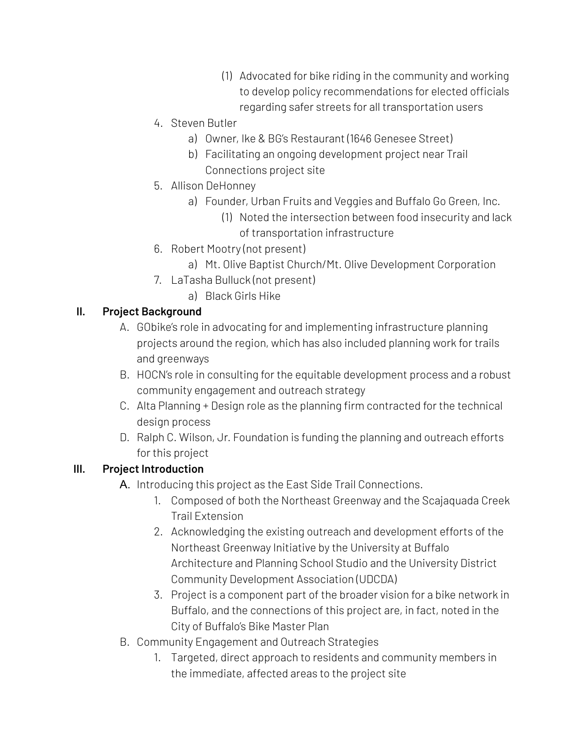- (1) Advocated for bike riding in the community and working to develop policy recommendations for elected officials regarding safer streets for all transportation users
- 4. Steven Butler
	- a) Owner, Ike & BG's Restaurant (1646 Genesee Street)
	- b) Facilitating an ongoing development project near Trail Connections project site
- 5. Allison DeHonney
	- a) Founder, Urban Fruits and Veggies and Buffalo Go Green, Inc.
		- (1) Noted the intersection between food insecurity and lack of transportation infrastructure
- 6. Robert Mootry (not present)
	- a) Mt. Olive Baptist Church/Mt. Olive Development Corporation
- 7. LaTasha Bulluck (not present)
	- a) Black Girls Hike

# **II. Project Background**

- A. GObike's role in advocating for and implementing infrastructure planning projects around the region, which has also included planning work for trails and greenways
- B. HOCN's role in consulting for the equitable development process and a robust community engagement and outreach strategy
- C. Alta Planning + Design role as the planning firm contracted for the technical design process
- D. Ralph C. Wilson, Jr. Foundation is funding the planning and outreach efforts for this project

# **III. Project Introduction**

- A. Introducing this project as the East Side Trail Connections.
	- 1. Composed of both the Northeast Greenway and the Scajaquada Creek Trail Extension
	- 2. Acknowledging the existing outreach and development efforts of the Northeast Greenway Initiative by the University at Buffalo Architecture and Planning School Studio and the University District Community Development Association (UDCDA)
	- 3. Project is a component part of the broader vision for a bike network in Buffalo, and the connections of this project are, in fact, noted in the City of Buffalo's Bike Master Plan
- B. Community Engagement and Outreach Strategies
	- 1. Targeted, direct approach to residents and community members in the immediate, affected areas to the project site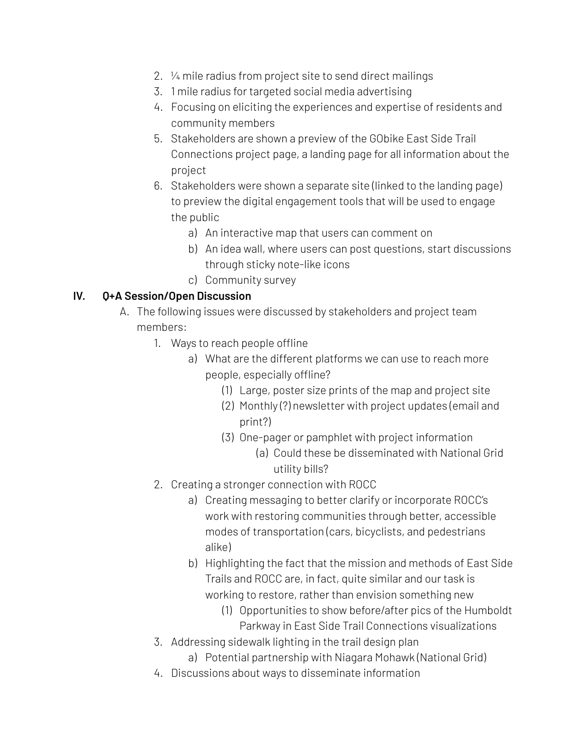- 2. ¼ mile radius from project site to send direct mailings
- 3. 1 mile radius for targeted social media advertising
- 4. Focusing on eliciting the experiences and expertise of residents and community members
- 5. Stakeholders are shown a preview of the GObike East Side Trail Connections project page, a landing page for all information about the project
- 6. Stakeholders were shown a separate site (linked to the landing page) to preview the digital engagement tools that will be used to engage the public
	- a) An interactive map that users can comment on
	- b) An idea wall, where users can post questions, start discussions through sticky note-like icons
	- c) Community survey

### **IV. Q+A Session/Open Discussion**

- A. The following issues were discussed by stakeholders and project team members:
	- 1. Ways to reach people offline
		- a) What are the different platforms we can use to reach more people, especially offline?
			- (1) Large, poster size prints of the map and project site
			- (2) Monthly (?) newsletter with project updates (email and print?)
			- (3) One-pager or pamphlet with project information
				- (a) Could these be disseminated with National Grid utility bills?
	- 2. Creating a stronger connection with ROCC
		- a) Creating messaging to better clarify or incorporate ROCC's work with restoring communities through better, accessible modes of transportation (cars, bicyclists, and pedestrians alike)
		- b) Highlighting the fact that the mission and methods of East Side Trails and ROCC are, in fact, quite similar and our task is working to restore, rather than envision something new
			- (1) Opportunities to show before/after pics of the Humboldt Parkway in East Side Trail Connections visualizations
	- 3. Addressing sidewalk lighting in the trail design plan
		- a) Potential partnership with Niagara Mohawk (National Grid)
	- 4. Discussions about ways to disseminate information